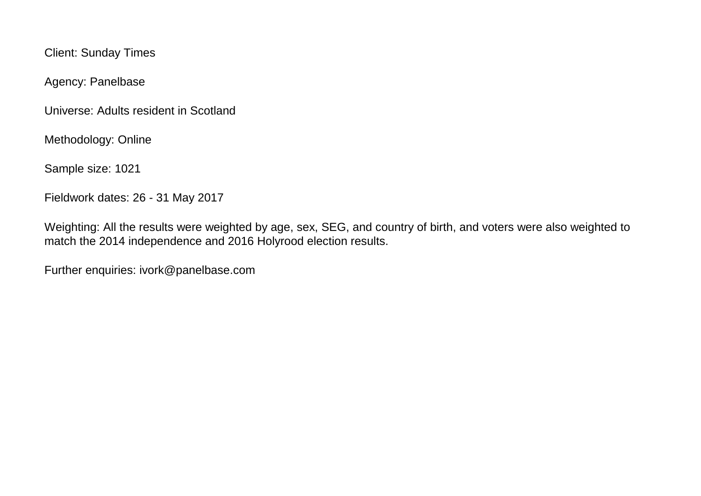Client: Sunday Times

Agency: Panelbase

Universe: Adults resident in Scotland

Methodology: Online

Sample size: 1021

Fieldwork dates: 26 - 31 May 2017

Weighting: All the results were weighted by age, sex, SEG, and country of birth, and voters were also weighted to match the 2014 independence and 2016 Holyrood election results.

Further enquiries: ivork@panelbase.com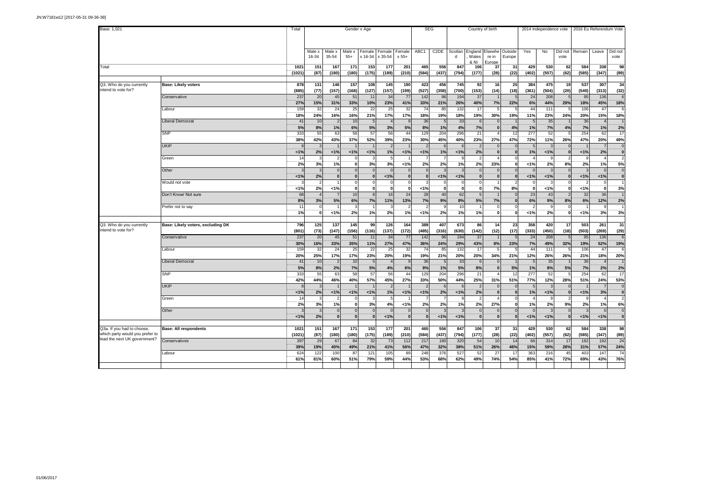| Base: 1,021                                                     |                                   | Total             |                     |                                        |                               | Gender x Age               |                   |                 | <b>SEG</b>               |                   |                         | Country of birth                          |                                                    |            |                  | 2014 Independence vote |                 | 2016 Eu Referendum Vote  |                      |                          |
|-----------------------------------------------------------------|-----------------------------------|-------------------|---------------------|----------------------------------------|-------------------------------|----------------------------|-------------------|-----------------|--------------------------|-------------------|-------------------------|-------------------------------------------|----------------------------------------------------|------------|------------------|------------------------|-----------------|--------------------------|----------------------|--------------------------|
|                                                                 |                                   |                   | Male x<br>16-34     | Male x<br>35-54                        | Male x<br>$55+$               | Female<br>$x 16-34$        | Female<br>x 35-54 | Female<br>x 55+ | ABC1                     | C <sub>2</sub> DE | d                       | Wales<br>& NI                             | Scotlan England Elsewhe Outside<br>re in<br>Europe | Europe     | Yes              | No                     | Did not<br>vote | Remain                   | Leave                | Did not<br>vote          |
| Total                                                           |                                   | 1021<br>(1021)    | 151<br>(87)         | 167<br>(180)                           | 171<br>(180)                  | 153<br>(175)               | 177<br>(189)      | 201<br>(210)    | 465<br>(584)             | 556<br>(437)      | 847<br>(794)            | 106<br>(177)                              | 37<br>(28)                                         | 31<br>(22) | 429<br>(402)     | 530<br>(557)           | 62<br>(62)      | 584<br>(585)             | 338<br>(347)         | 98<br>(89)               |
| Q3. Who do you currently                                        | <b>Base: Likely voters</b>        | 878               | 131                 | 146                                    | 157                           | 108                        | 145               | 190             | 423                      | 456               | 745                     | 92                                        | 16                                                 | 25         | 384              | 475                    | 19              | 537                      | 307                  | 34                       |
| intend to vote for?                                             |                                   | (885)             | (77)                | (157)                                  | (168)                         | (127)                      | (157)             | (199)           | (527)                    | (358)             | (700)                   | (153)                                     | (14)                                               | (18)       | (361)            | (504)                  | (20)            | (540)                    | (313)                | (32)                     |
|                                                                 | Conservative                      | 237<br><b>27%</b> | 20<br>15%           | 45<br>31%                              | 51<br>33%                     | 11<br>10%                  | 34<br>23%         | 77<br>41%       | 142<br>33%               | 96<br>21%         | 194<br>26%              | 37<br>40%                                 | 7%                                                 | 22%        | 24<br>6%         | 208<br>44%             | 29%             | 95<br>18%                | 136<br>45%           | 18%                      |
|                                                                 | abour                             | 159               | 32                  | 24                                     | 25                            | 22                         | 25                | 32              | 74                       | 85                | 132                     | 17                                        | -5                                                 |            | 44               | 111                    |                 | 106                      | 47                   |                          |
|                                                                 |                                   | 18%               | 24%                 | 16%                                    | 16%                           | 21%                        | 17%               | 17%             | 18%                      | 19%               | 18%                     | 19%                                       | 30%                                                | 19%        | 11%              | 23%                    | 24%             | 20%                      | 15%                  | 18%                      |
|                                                                 | iberal Democrat                   | 41<br>5%          | 10<br>8%            | $\overline{2}$<br>1%                   | 10<br>6%                      | 5<br>5%                    | 3%                | 5%              | 36<br>8%                 | 1%                | 33<br>4%                | 6<br>7%                                   | $\Omega$<br>$\bf{0}$                               | 4%         | $\sqrt{5}$<br>1% | 35<br>7%               | 4%              | 36<br>7%                 | $\Delta$<br>1%       | 2%                       |
|                                                                 | <b>SNP</b>                        | 333               | 55                  | 63                                     | 58                            | 57                         | 56                | 44              | 129                      | 204               | 296                     | $\overline{21}$                           |                                                    | 12         | 277              | 52                     |                 | 254                      | 62                   | $\overline{17}$          |
|                                                                 | UKIP                              | 38%               | 42%<br>3            | 43%                                    | 37%                           | 52%                        | 39%               | 23%             | 30%                      | 45%               | 40%<br>6                | 23%<br>$\overline{2}$                     | 27%                                                | 47%        | 72%<br>-5        | 11%                    | 26%             | 47%                      | 20%                  | 49%<br>$\epsilon$        |
|                                                                 |                                   | 1%                | 2%                  | 1%                                     | 1%                            | 1%                         | 1%                | 1%              | 1%                       | 1%                | 1%                      | 2%                                        | $\mathbf{0}$                                       |            | 1%               | 1%                     |                 | 1%                       | 2%                   | $\overline{\mathbf{0}}$  |
|                                                                 | Green                             | 14                | 3                   |                                        | $\Omega$                      |                            |                   |                 |                          |                   | -9                      | $\overline{2}$                            |                                                    |            |                  | g                      |                 | 9                        | 4                    | $\overline{\phantom{a}}$ |
|                                                                 | Other                             | 2%                | 3%<br>$\mathbf{3}$  | 1%<br>$\mathbf{0}$                     | $\mathbf 0$<br>$\mathbf 0$    | 3%<br>$\Omega$             | 3%<br>$\Omega$    | 1%              | 2%                       | 2%                | 1%<br>-3                | 2%<br>$\overline{0}$                      | 23%<br>$\Omega$                                    |            | 1%               | 2%                     | 8%              | 2%<br>3                  | 1%<br>$\Omega$       | 5%<br>$\overline{0}$     |
|                                                                 |                                   | 1%                | 2%                  | 0                                      | $\mathbf 0$                   | $\mathbf 0$                | 1%                | $\mathbf 0$     | $\mathbf{0}$             | 1%                | 1%                      | $\mathbf 0$                               | $\mathbf 0$                                        |            | 1%               | 1%                     |                 | 1%                       | 1%                   | ö                        |
|                                                                 | Would not vote                    |                   | 2                   |                                        | $\mathsf{O}$                  | $\mathbf 0$                | $\Omega$          |                 |                          |                   | $\mathbf 0$             | $\circ$                                   |                                                    |            |                  |                        |                 | $\overline{\phantom{a}}$ | $\Omega$             |                          |
|                                                                 |                                   | 1%<br>68          | 2%<br>$\mathbf{A}$  | 1%                                     | $\overline{\mathbf{0}}$<br>10 | ö                          | ō<br>16           |                 | 1%                       |                   | $\overline{\mathbf{0}}$ | $\overline{\mathbf{0}}$                   | 7%                                                 | 8%         | 0                | $< 1\%$                |                 | 1%                       | $\Omega$             | 3%                       |
|                                                                 | Don't Know/ Not sure              | 8%                | 3%                  | $\overline{7}$<br>5%                   | 6%                            | 8<br>7%                    | 11%               | 24<br>13%       | 28<br>7%                 | 40<br>9%          | 62<br>8%                | 5<br>$5%$                                 | 7%                                                 |            | 23<br>6%         | 43<br>9%               | 8%              | 32<br>6%                 | 36<br>12%            | 2%                       |
|                                                                 | Prefer not to say                 | 11                | $\Omega$            |                                        | $\mathcal{R}$                 |                            |                   |                 |                          |                   | 10                      |                                           | $\Omega$                                           |            | 2                | q                      |                 |                          |                      |                          |
|                                                                 |                                   | 1%                | 0                   | 1%                                     | 2%                            | 1%                         | 2%                | 1%              | 1%                       | 2%                | 1%                      | 1%                                        | $\mathbf 0$                                        |            | 1%               | 2%                     | - 0             | 1%                       | 3%                   | 3%                       |
| Q3. Who do you currently                                        | Base: Likely voters, excluding DK | 796               | 125                 | 137                                    | 145                           | 99                         | 126               | 164             | 389                      | 407               | 673                     | 86                                        | 14                                                 | 23         | 358              | 420                    | 17              | 503                      | 261                  | 31                       |
| intend to vote for?                                             |                                   | (801)             | (73)                | (147)                                  | (156)                         | (116)                      | (137)             | (172)           | (485)                    | (316)             | (630)                   | (142)                                     | (12)                                               | (17)       | (333)            | (450)                  | (18)            | (503)                    | (269)                | (29)                     |
|                                                                 | Conservative                      | 237<br>30%        | 20<br>16%           | 45<br>33%                              | 51<br>35%                     | 11<br>11%                  | 34<br>27%         | 77<br>47%       | 142<br>36%               | 96<br>24%         | 194<br>29%              | 37<br>43%                                 | 8%                                                 | 23%        | 24<br>7%         | 208<br>49%             | 32%             | 95<br>19%                | 136<br>52%           | $\overline{r}$<br>19%    |
|                                                                 | .abour                            | 159               | 32                  | 24                                     | 25                            | 22                         | 25                | 32              | 74                       | 85                | 132                     | 17                                        | -5                                                 |            | 44               | 111                    |                 | 106                      | 47                   |                          |
|                                                                 |                                   | 20%               | 25%                 | 17%                                    | 17%                           | 23%                        | 20%               | 19%             | 19%                      | 21%               | 20%                     | 20%                                       | 34%                                                | 21%        | 12%              | 26%                    | 26%             | 21%                      | 18%                  | 20%                      |
|                                                                 | iberal Democrat                   | 41<br>5%          | 10<br>8%            | 2%                                     | 10<br>7%                      | 5%                         | 4%                | 6%              | 36<br>9%                 | 1%                | 33<br>5%                | 6<br>8%                                   | $\mathbf{0}$                                       | 5%         | 1%               | 35<br>8%               | 5%              | 36<br>7%                 | 2%                   | 2%                       |
|                                                                 | <b>SNP</b>                        | 333               | 55                  | 63                                     | 58                            | 57                         | 56                | 44              | 129                      | 204               | 296                     | 21                                        |                                                    | 12         | 277              | 52                     |                 | 254                      | 62                   | 17                       |
|                                                                 |                                   | 42%               | 44%                 | 46%                                    | 40%                           | 57%                        | 45%               | 27%             | 33%                      | 50%               | 44%                     | 25%                                       | 31%                                                | 51%        | 77%              | 12%                    | 28%             | 51%                      | 24%                  | 53%                      |
|                                                                 | UKIP                              |                   | $\mathcal{R}$<br>2% |                                        |                               |                            | 1%                |                 | $\overline{2}$<br>1%     |                   | -6<br>1%                | $\overline{2}$<br>2%                      | $\Omega$<br>$\bf{0}$                               |            | -5<br>1%         |                        |                 |                          |                      | $\epsilon$<br>ö          |
|                                                                 | Green                             | 1%<br>14          | $\mathcal{R}$       | 1%                                     | 1%<br>$\Omega$                | 1%                         | 5                 | 1%              |                          | 2%                | <b>q</b>                | $\overline{2}$                            |                                                    |            |                  | 1%                     |                 | 1%<br>q                  | 3%<br>$\overline{a}$ | $\overline{\phantom{a}}$ |
|                                                                 |                                   | 2%                | 3%                  | 1%                                     | $\bf{0}$                      | 3%                         | 4%                | 1%              | 2%                       | 2%                | 1%                      | 2%                                        | 27%                                                |            | 1%               | 2%                     | 9%              | 2%                       | 1%                   | 6%                       |
|                                                                 | Other                             |                   | 3<br>2%             | $\mathbf 0$<br>$\overline{\mathbf{0}}$ | $\mathbf{0}$<br>$\mathbf 0$   | $\mathbf 0$<br>$\mathbf 0$ | $\Omega$<br>1%    | $\mathbf 0$     | $\Omega$<br>$\mathbf{0}$ |                   | -3<br>1%                | $\overline{0}$<br>$\overline{\mathbf{0}}$ | $\overline{0}$<br>$\mathbf 0$                      |            | $\Omega$<br>1%   | $\mathbf{3}$<br>1%     |                 | $\overline{3}$<br>1%     | $\mathfrak{c}$<br>1% | $\overline{0}$<br>ö      |
|                                                                 |                                   | 1%                |                     |                                        |                               |                            |                   |                 |                          | 1%                |                         |                                           |                                                    |            |                  |                        |                 |                          |                      |                          |
| Q3a. If you had to choose,                                      | <b>Base: All respondents</b>      | 1021              | 151                 | 167                                    | 171                           | 153                        | 177               | 201             | 465                      | 556               | 847                     | 106                                       | 37                                                 | 31         | 429              | 530                    | 62              | 584                      | 338                  | 98                       |
| which party would you prefer to<br>lead the next UK government? |                                   | (1021)            | (87)                | (180)                                  | (180)                         | (175)                      | (189)             | (210)           | (584)                    | (437)             | (794)                   | (177)                                     | (28)                                               | (22)       | (402)            | (557)                  | (62)            | (585)                    | (347)                | (89)                     |
|                                                                 | Conservatives                     | 397<br>39%        | 29<br>19%           | 67                                     | 84<br>49%                     | 32                         | 73                | 112             | 217                      | 180               | 320<br>38%              | 54                                        | 10<br>26%                                          | 14<br>46%  | 66               | 314<br>59%             | 17              | 182                      | 192<br>57%           | 24<br>24%                |
|                                                                 | .abour                            | 624               | 122                 | 40%<br>100                             | 87                            | 21%<br>121                 | 41%<br>105        | 56%<br>89       | 47%<br>248               | 32%<br>376        | 527                     | 51%<br>52                                 | 27                                                 | 17         | 15%<br>363       | 216                    | 28%<br>45       | 31%<br>403               | 147                  | 74                       |
|                                                                 |                                   | 61%               | 81%                 | 60%                                    | 51%                           | 79%                        | 59%               | 44%             | 53%                      | 68%               | 62%                     | 49%                                       | 74%                                                | 54%        | 85%              | 41%                    | 72%             | 69%                      | 43%                  | 76%                      |
|                                                                 |                                   |                   |                     |                                        |                               |                            |                   |                 |                          |                   |                         |                                           |                                                    |            |                  |                        |                 |                          |                      |                          |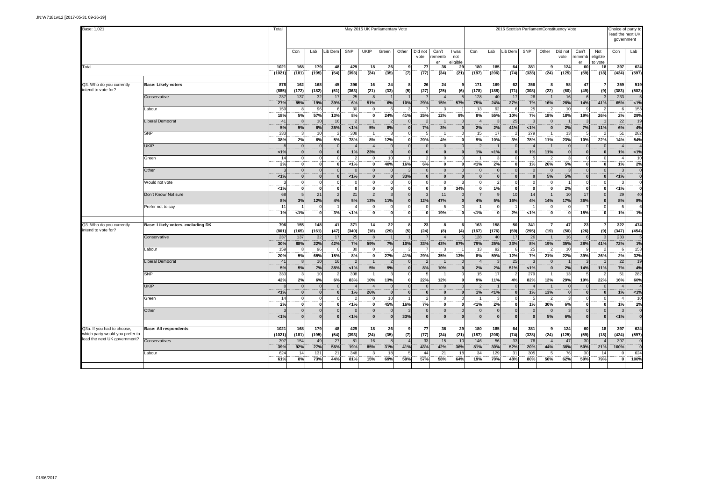| Base: 1,021                                                   |                                   |                |              |                      |                        |                      |                             | May 2015 UK Parliamentary Vote |                          |                                |                            |                          |                          |                          |                      |                          |                          | 2016 Scottish ParliamentConstituency Vote |                       |                            | lead the next UK         | Choice of party to<br>government |
|---------------------------------------------------------------|-----------------------------------|----------------|--------------|----------------------|------------------------|----------------------|-----------------------------|--------------------------------|--------------------------|--------------------------------|----------------------------|--------------------------|--------------------------|--------------------------|----------------------|--------------------------|--------------------------|-------------------------------------------|-----------------------|----------------------------|--------------------------|----------------------------------|
|                                                               |                                   |                | Con          | Lab                  | Lib Dem                | <b>SNP</b>           | <b>UKIP</b>                 | Green                          | Other                    | Did not<br>vote                | Can't<br>rememb<br>er      | I was<br>not<br>eligible | Con                      | Lab                      | Lib Dem              | SNP                      | Other                    | Did not<br>vote                           | Can't<br>rememb<br>er | Not<br>eligible<br>to vote | Con                      | Lab                              |
| Total                                                         |                                   | 1021<br>(1021) | 168<br>(181) | 179<br>(195)         | 48<br>(54)             | 429<br>(393)         | 18<br>(24)                  | 26<br>(35)                     | ٩<br>(7)                 | 77<br>(77)                     | 36<br>(34)                 | 29<br>(21)               | 180<br>(187)             | 185<br>(206)             | 64<br>(74)           | 381<br>(328)             | 9<br>(24)                | 124<br>(125)                              | 60<br>(59)            | 18<br>(18)                 | 397<br>(424)             | 624<br>(597)                     |
|                                                               |                                   |                |              |                      |                        |                      |                             |                                |                          |                                |                            |                          |                          |                          |                      |                          |                          |                                           |                       |                            |                          |                                  |
| Q3. Who do you currently<br>intend to vote for?               | <b>Base: Likely voters</b>        | 878<br>(885)   | 162<br>(172) | 168<br>(182)         | 45<br>(51)             | 396<br>(363)         | 16<br>(21)                  | 24<br>(33)                     | 8<br>(5)                 | 26<br>(27)                     | 24<br>(25)                 | (6)                      | 171<br>(178)             | 169<br>(188)             | 62<br>(71)           | 356<br>(308)             | 8<br>(22)                | 58<br>(60)                                | 47<br>(49)            | (9)                        | 359<br>(383)             | 519<br>(502)                     |
|                                                               | Conservative                      | 237<br>27%     | 137<br>85%   | 32<br>19%            | 17<br>39%              | 25<br>6%             | 51%                         | 6%                             | 10%                      | 29%                            | 15%                        | 57%                      | 128<br>75%               | 40<br>24%                | 17<br>27%            | 26<br>7%                 | 16%                      | 16<br>28%                                 | 14%                   | 41%                        | 233<br>65%               | 1%                               |
|                                                               | Labour                            | 159<br>18%     | 5%           | 96<br>57%            | 6<br>13%               | 30<br>8%             | 0<br>$\mathbf 0$            | 6<br>24%                       | 41%                      | 25%                            | 12%                        | 8%                       | 13<br>8%                 | 92<br>55%                | 10%                  | 25<br>7%                 | 18%                      | 10 <sup>1</sup><br>18%                    | 19%                   | 26%                        | 6<br>2%                  | 153<br>29%                       |
|                                                               | <b>Liberal Democrat</b>           | 41<br>5%       | 5%           | 10<br>6%             | 16<br>35%              | $\overline{2}$<br>1% | 5%                          | $\mathcal{P}$<br>8%            | $\Omega$<br>$\mathbf{0}$ | 7%                             | 3%                         |                          | $\overline{4}$<br>2%     | $\mathbf{3}$<br>2%       | 25<br>41%            | $\overline{3}$<br>1%     | $\Omega$<br>$\mathbf{0}$ | 2%                                        | 7%                    | 11%                        | 22<br>6%                 | 19<br>4%                         |
|                                                               | SNP                               | 333<br>38%     | 2%           | 10<br>6%             | 5%                     | 308<br><b>78%</b>    | 8%                          | 12%                            | $\mathbf{0}$             | 20%                            | $\overline{ }$<br>4%       |                          | 15<br>9%                 | 17<br>10%                | 3%                   | 279<br>78%               | 11%                      | 13<br>23%                                 | 10%                   | 22%                        | 51<br>14%                | 282<br>54%                       |
|                                                               | <b>UKIP</b>                       |                |              |                      | $\overline{0}$         |                      |                             |                                | $\Omega$                 | $\Omega$                       |                            |                          | $\overline{2}$           |                          |                      |                          |                          | $\Omega$                                  |                       |                            |                          |                                  |
|                                                               | Green                             | 1%<br>14       | $\Omega$     | $\Omega$<br>$\Omega$ | $\bf{0}$<br>$\circ$    | 1%<br>-2             | 23%<br>0                    | $\Omega$<br>10                 | $\Omega$                 | $\mathbf{0}$<br>$\overline{2}$ | $\mathbf{r}$<br>$\sqrt{2}$ |                          | 1%                       | 1%<br>3                  | n<br>$\Omega$        | 1%<br>5                  | 11%<br>$\overline{2}$    | $\bf{0}$<br>$\overline{\mathbf{3}}$       | $\Omega$<br>$\Omega$  |                            | 1%                       | 1%<br>10                         |
|                                                               | Other                             | 2%             | $\Omega$     | $\Omega$<br>$\Omega$ | οl<br>$\Omega$         | 1%                   | 0 <br>$\Omega$              | 40%                            | 16%                      | 6%<br>$\overline{0}$           | O<br>$\Omega$              |                          | 1%<br>$\Omega$           | 2%<br>$\Omega$           | $\bf{0}$<br>$\Omega$ | 1%<br>$\Omega$           | 26%                      | 5%<br>$\mathcal{R}$                       | $\Omega$<br>$\Omega$  |                            | 1%                       | 2%                               |
|                                                               | Would not vote                    | 1%             | $\bf{0}$     | 0 <br>$\Omega$       | 0 <br>$\Omega$         | 1%                   | $\mathbf{0}$<br>$\mathbf 0$ | $\bf{0}$                       | 33%                      | $\mathbf{0}$<br>$\Omega$       | $\bf{0}$                   |                          | $\mathbf{0}$<br>$\Omega$ | 0 <br>$\overline{2}$     | $\mathbf{0}$         | $\mathbf{0}$<br>$\Omega$ | 5%<br>$\Omega$           | 5%                                        | $\mathbf{0}$          |                            | 1%<br>3                  |                                  |
|                                                               |                                   | 1%             | $\Omega$     | $\Omega$             | 0                      | $\Omega$             | $\pmb{0}$                   | $\Omega$                       | $\Omega$                 | $\Omega$                       | $\Omega$                   | 34%                      | $\mathbf{0}$             | 1%                       | $\Omega$             | $\mathbf{0}$             | $\mathbf{0}$             | 2%                                        | $\Omega$              |                            | 1%                       |                                  |
|                                                               | Don't Know/ Not sure              | 68<br>8%       | 3%           | 21<br>12%            | $\overline{2}$<br>4%   | 21<br>5%             | $\overline{2}$<br>13%       | 3<br>11%                       | $\Omega$<br>$\Omega$     | -3<br>12%                      | 11<br>47%                  |                          | $\overline{7}$<br>4%     | 9<br>5%                  | 10<br>16%            | 14<br>4%                 | 14%                      | 10<br>17%                                 | 17<br>36%             |                            | 29<br>8%                 | 40<br>8%                         |
|                                                               | Prefer not to say                 | 11<br>1%       | 1%           | $\mathbf{0}$         | 3%                     | 1%                   | $\Omega$<br>$\mathbf 0$     | $\bf{0}$                       | $\Omega$<br>$\mathbf{0}$ | $\mathbf{0}$                   | 5<br>19%                   |                          | 1%                       | $\Omega$<br>$\mathbf{0}$ | 2%                   | 1%                       | $\mathbf 0$              | $\mathbf{0}$                              | 15%                   |                            | 1%                       | 1%                               |
|                                                               |                                   |                |              |                      |                        |                      |                             |                                |                          |                                |                            |                          |                          |                          |                      |                          |                          |                                           |                       |                            |                          |                                  |
| Q3. Who do you currently<br>intend to vote for?               | Base: Likely voters, excluding DK | 796<br>(801)   | 155<br>(165) | 148<br>(161)         | 41<br>(47)             | 371<br>(340)         | 14<br>(18)                  | 22<br>(29)                     | 8<br>(5)                 | 23<br>(24)                     | 8<br>(8)                   | (4)                      | 163<br>(167)             | 158<br>(176)             | 50<br>(59)           | 341<br>(295)             | $\overline{7}$<br>(19)   | 47<br>(50)                                | 23<br>(26)            | (9)                        | 322<br>(347)             | 474<br>(454)                     |
|                                                               | Conservative                      | 237<br>30%     | 137<br>88%   | 32<br>22%            | 17<br>42%              | 25<br>7%             | 8<br>59%                    | 7%                             | 10%                      | 33%                            | 43%                        | 87%                      | 128<br>79%               | 40<br>25%                | 17<br>33%            | 26<br>8%                 | 19%                      | 16<br>35%                                 | 28%                   | 41%                        | 233<br>72%               | 1%                               |
|                                                               | Labour                            | 159<br>20%     | 5%           | 96<br>65%            | 6<br>15%               | 30<br>8%             | 0<br> 0                     | 6<br>27%                       | 41%                      | 29%                            | 35%                        | 13%                      | 13<br>8%                 | 92<br>59%                | 6<br>12%             | 25<br>7%                 | $\mathcal{P}$<br>21%     | 10<br>22%                                 | 39%                   | 26%                        | 6<br>2%                  | 153<br>32%                       |
|                                                               | <b>Liberal Democrat</b>           | 41<br>5%       | 5%           | 10<br>7%             | 16 <sup>1</sup><br>38% | $\overline{2}$<br>1% | 5%                          | $\overline{2}$<br>9%           | $\Omega$<br>$\mathbf{0}$ | 8%                             | 10%                        |                          | $\overline{4}$<br>2%     | $\mathbf{3}$<br>2%       | 25<br>51%            | $\mathbf{3}$<br>1%       | $\Omega$<br>$\mathbf{0}$ | 2%                                        | 14%                   | 11%                        | 22<br>7%                 | 19<br>4%                         |
|                                                               | SNP                               | 333<br>42%     | 2%           | 10<br>6%             | $\overline{2}$<br>6%   | 308<br>83%           | 10%                         | 13%                            | $\Omega$<br>$\mathbf{0}$ | 22%                            | 12%                        |                          | 15<br>9%                 | 17<br>11%                | 4%                   | 279<br>82%               | 12%                      | 13<br>29%                                 | 19%                   | 22%                        | 51<br>16%                | 282<br>60%                       |
|                                                               | <b>UKIP</b>                       | 1%             |              | $\Omega$<br>$\Omega$ | $\Omega$<br>$\bf{0}$   | 1%                   | 26%                         | $\Omega$                       | $\Omega$<br>$\Omega$     | $\Omega$                       | $\sqrt{2}$                 |                          | $\overline{2}$<br>1%     | 1%                       | $\Omega$             | 1%                       | 13%                      | $\Omega$                                  |                       |                            | 1%                       | 1%                               |
|                                                               | Green                             | 14             | $\Omega$     | $\Omega$             | 0                      | 2                    | $^{\circ}$                  | 10                             |                          | $\overline{2}$                 | $\mathsf{C}$               |                          |                          | 3                        | $\Omega$             | 5                        | $\overline{2}$           | 3                                         | $\Omega$              |                            |                          | 10                               |
|                                                               | Other                             | 2%             | $\mathbf{0}$ | O<br>$\Omega$        | οl<br>$\Omega$         | 1%<br>$\Omega$       | 0<br>$\Omega$               | 45%                            | 16%                      | 7%<br>$\mathbf{0}$             | O<br>$\sqrt{ }$            |                          | 1%<br>$\Omega$           | 2%<br>$\Omega$           | 0<br>$\Omega$        | 1%<br>$\Omega$           | 30%                      | 6%<br>$\mathcal{R}$                       | 0<br>$\Omega$         |                            | 1%<br>$\mathbf{3}$       | 2%                               |
|                                                               |                                   | 1%             | $\mathbf{0}$ | $\mathbf{0}$         | $\overline{0}$         | 1%                   | ol                          | $\mathbf{0}$                   | 33%                      | $\overline{\mathbf{0}}$        | $\mathbf{0}$               |                          | $\mathbf{0}$             | $\mathbf{0}$             | $\mathbf{0}$         | $\mathbf{0}$             | 5%                       | 6%                                        | $\mathbf{0}$          |                            | 1%                       |                                  |
| Q3a. If you had to choose,<br>which party would you prefer to | <b>Base: All respondents</b>      | 1021<br>(1021) | 168<br>(181) | 179<br>(195)         | 48<br>(54)             | 429<br>(393)         | 18<br>(24)                  | 26<br>(35)                     | ٩<br>(7)                 | 77<br>(77)                     | 36<br>(34)                 | 29<br>(21)               | 180<br>(187)             | 185<br>(206)             | 64<br>(74)           | 381<br>(328)             | 9<br>(24)                | 124<br>(125)                              | 60<br>(59)            | 18<br>(18)                 | 397<br>(424)             | 624<br>(597)                     |
| lead the next UK government?                                  | Conservatives                     | 397<br>39%     | 154<br>92%   | 49<br>27%            | 27<br>56%              | 81<br>19%            | 16<br>85%                   | 31%                            | 41%                      | 33<br>43%                      | 15<br>42%                  | 10<br>36%                | 146<br>81%               | 56<br>30%                | 33<br>52%            | 76<br>20%                | 44%                      | 47<br>38%                                 | 30<br>50%             | 21%                        | 397<br>100%              |                                  |
|                                                               | Labour                            | 624<br>61%     | 14<br>8%     | 131<br>73%           | 21<br>44%              | 348<br>81%           | 3<br>15%                    | 18<br>69%                      | 59%                      | 44<br>57%                      | 21<br>58%                  | 11<br>64%                | 34<br>19%                | 129<br>70%               | 31<br>48%            | 305<br>80%               | 5<br>56%                 | 76<br>62%                                 | 30<br>50%             | 14<br>79%                  | $\Omega$<br>$\mathbf{0}$ | 624<br>100%                      |
|                                                               |                                   |                |              |                      |                        |                      |                             |                                |                          |                                |                            |                          |                          |                          |                      |                          |                          |                                           |                       |                            |                          |                                  |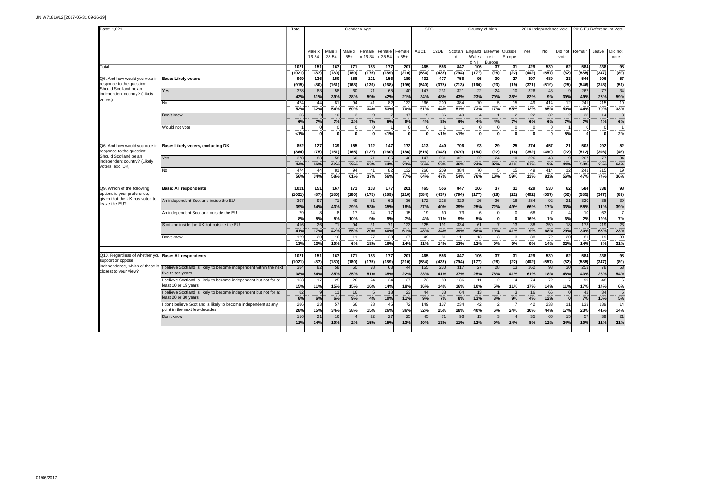| Base: 1.021                                                               |                                                                                                | Total                |                     |                       | Gender x Age          |                       |                       |                           | <b>SEG</b>            |                       |                       |                      | Country of birth               |                    |                       | 2014 Independence vote   |                    |                       | 2016 Eu Referendum Vote |                    |
|---------------------------------------------------------------------------|------------------------------------------------------------------------------------------------|----------------------|---------------------|-----------------------|-----------------------|-----------------------|-----------------------|---------------------------|-----------------------|-----------------------|-----------------------|----------------------|--------------------------------|--------------------|-----------------------|--------------------------|--------------------|-----------------------|-------------------------|--------------------|
|                                                                           |                                                                                                |                      | Male:<br>16-34      | Male x<br>35-54       | Male ><br>$55+$       | Female<br>x 16-34     | Female<br>x 35-54     | Female<br>$x 55+$         | ABC1                  | C <sub>2</sub> DE     | Scotlan<br>d          | England<br>Wales     | Elsewhe<br>re in               | Outside<br>Europe  | Yes                   | No                       | Did not<br>vote    | Remain                | Leave                   | Did not<br>vote    |
| Total                                                                     |                                                                                                | 1021<br>(1021)       | 151                 | 167                   | 171                   | 153                   | 177                   | 201                       | 465                   | 556                   | 847                   | & NI<br>106          | Europe<br>37                   | 31                 | 429                   | 530                      | 62                 | 584                   | 338                     | 98                 |
| Q6. And how would you vote in<br>response to the question                 | <b>Base: Likely voters</b>                                                                     | 909<br>(915)         | (87)<br>136<br>(80) | (180)<br>150<br>(161) | (180)<br>158<br>(168) | (175)<br>121<br>(139) | (189)<br>156<br>(168) | (210)<br>189<br>(199)     | (584)<br>432<br>(540) | (437)<br>477<br>(375) | (794)<br>756<br>(713) | (177)<br>96<br>(160) | (28)<br>30<br>(23)             | (22)<br>27<br>(19) | (402)<br>397<br>(371) | (557)<br>489<br>(519)    | (62)<br>23<br>(25) | (585)<br>546<br>(546) | (347)<br>306<br>(318)   | (89)<br>57<br>(51) |
| Should Scotland be an<br>independent country? (Likely<br>voters)          | Yes                                                                                            | 378<br>42%           | 83<br>61%           | 58<br>39%             | 60<br>38%             | 71<br>59%             | 65<br>42%             | 40<br>21%                 | 147<br>34%            | 231<br>48%            | 321<br>43%            | 22<br>23%            | 24<br>79%                      | 10<br>38%          | 326<br>82%            | 43<br>9%                 | 39%                | 267<br>49%            | 77<br>25%               | 34<br>59%          |
|                                                                           | N <sub>o</sub>                                                                                 | 474<br>52%           | 44<br>32%           | 81<br>54%             | 94<br>60%             | 41<br>34%             | 82<br>53%             | 132<br>70%                | 266<br>61%            | 209<br>44%            | 384<br>51%            | 70<br>73%            | 5<br>17%                       | 15<br>55%          | 49<br>12%             | 414<br>85%               | 12<br>50%          | 241<br>44%            | 215<br>70%              | 19<br>33%          |
|                                                                           | Don't know                                                                                     | 56<br>6 <sup>9</sup> | $\epsilon$<br>7%    | 10<br>7%              | 3<br>2%               | 7%                    | $\overline{7}$<br>5%  | 17<br>9%                  | 19<br>4%              | 36<br>8%              | 49<br>6%              | 4%                   | 4%                             | 7%                 | 22<br>6%              | 32<br>6%                 | 7%                 | 38<br>7%              | 14<br>4%                | 6%                 |
|                                                                           | Would not vote                                                                                 | $19$                 | ſ                   |                       | $\epsilon$<br>O       |                       | 1%                    |                           | $\Omega$<br>$\Omega$  | $19$                  | 1%                    | $\mathbf{0}$         | $\Omega$<br>$\mathbf{0}$       |                    | $\Omega$<br>$\Omega$  | $\Omega$<br>$\mathbf{0}$ | 5%                 | $\Omega$<br>$\Omega$  | $\Omega$                | 2%                 |
| Q6. And how would you vote in<br>response to the question:                | Base: Likely voters, excluding DK                                                              | 852                  | 127                 | 139                   | 155                   | $112$                 | 147                   | 172                       | 413                   | 440                   | 706                   | 93                   | 29                             | 25                 | 374                   | 457                      | 21                 | 508                   | 292                     | 52                 |
| Should Scotland be an<br>independent country? (Likely                     | <b>Yes</b>                                                                                     | (864)<br>378<br>44%  | (75)<br>83<br>66%   | (151)<br>58<br>42%    | (165)<br>60<br>39%    | (127)<br>71<br>63%    | (160)<br>65<br>44%    | (186)<br>$\Delta($<br>23% | (516)<br>147<br>36%   | (348)<br>231<br>53%   | (670)<br>321<br>46%   | (154)<br>22<br>24%   | (22)<br>24<br>82%              | (18)<br>10<br>41%  | (352)<br>326<br>87%   | (490)<br>43<br>9%        | (22)<br>44%        | (512)<br>267<br>53%   | (306)<br>77<br>26%      | (46)<br>34<br>64%  |
| voters, excl DK)                                                          | No                                                                                             | 474<br>56%           | 44<br>34%           | 81<br>58%             | 94<br>61%             | 41<br>37%             | 82<br>56%             | 13<br>77%                 | 266<br>64%            | 209<br>47%            | 384<br>54%            | 70<br>76%            | 5<br>18%                       | 15<br>59%          | 49<br>13%             | 414<br>91%               | 12<br>56%          | 241<br>47%            | 215<br>74%              | 19<br>36%          |
| Q9. Which of the following                                                | <b>Base: All respondents</b>                                                                   | $102^{\circ}$        | 151                 | 167                   | 171                   | 153                   | 177                   | 201                       | 465                   | 556                   | 847                   | 106                  | 37                             | 31                 | 429                   | 530                      | 62                 | 584                   | 338                     | 98                 |
| options is your preference,<br>given that the UK has voted to             | An independent Scotland inside the EU                                                          | (1021)<br>397        | (87)<br>97          | (180)<br>71           | (180)<br>49           | (175)<br>81           | (189)<br>62           | (210)<br>36               | (584)<br>172          | (437)<br>225          | (794)<br>329          | (177)<br>26          | (28)<br>26                     | (22)<br>16         | (402)<br>284          | (557)<br>92              | (62)<br>21         | (585)<br>320          | (347)<br>38             | (89)<br>39         |
| leave the EU?                                                             | An independent Scotland outside the EU                                                         | 39%<br>79            | 64%<br>8            | 43%                   | 29%<br>17             | 53%<br>14             | 35%<br>17             | 18%<br>15                 | 37%<br>19             | 40%<br>60             | 39%<br>73             | 25%                  | 72%<br>$\Omega$                | 49%                | 66%<br>68             | 17%                      | 33%                | 55%<br>10             | 11%<br>63               | 39%                |
|                                                                           | Scotland inside the UK but outside the EU                                                      | 8%<br>416            | 5%<br>26            | 5%<br>71              | 10%<br>94             | 9%<br>31              | 9%<br>71              | 7%<br>123                 | 4%<br>225             | 11%<br>191            | 9%<br>334             | 5%<br>61             | $\mathbf{0}$<br>$\overline{7}$ | 13                 | 16%<br>38             | 1%<br>359                | 6%<br>18           | 2%<br>173             | 19%<br>219              | 7%<br>23           |
|                                                                           | Don't know                                                                                     | 41%<br>129           | 17%<br>20           | 42%<br>16             | 55%<br>11             | 20%<br>27             | 40%<br>28             | 61%<br>27                 | 48%<br>49             | 34%<br>81             | 39%<br>111            | 58%<br>13            | 19%<br>3                       | 41%                | 9%<br>38              | 68%<br>72                | 29%<br>20          | 30%<br>81             | 65%<br>19               | 23%<br>30          |
|                                                                           |                                                                                                | 13 <sup>°</sup>      | 13%                 | 10%                   | 6%                    | 18%                   | 16%                   | 14%                       | 11%                   | 14%                   | 13%                   | 12%                  | 9%                             | 9%                 | 9%                    | 14%                      | 32%                | 14%                   | 6%                      | 31%                |
| Q10. Regardless of whether you Base: All respondents<br>support or oppose |                                                                                                | 1021<br>(1021)       | 151<br>(87)         | 167<br>(180)          | 171<br>(180)          | 153<br>(175)          | 177<br>(189)          | 201<br>(210)              | 465<br>(584)          | 556<br>(437)          | 847<br>(794)          | 106<br>(177)         | 37<br>(28)                     | 31<br>(22)         | 429<br>(402)          | 530<br>(557)             | 62<br>(62)         | 584<br>(585)          | 338<br>(347)            | 98<br>(89)         |
| independence, which of these is<br>closest to your view?                  | believe Scotland is likely to become independent within the next<br>ive to ten years           | 384<br>38%           | 82<br>54%           | 58<br>35%             | 60<br>35%             | 78<br>51%             | 63<br>35%             | 44<br>22%                 | 155<br>33%            | 230<br>41%            | 317<br>37%            | 27<br>25%            | 28<br>76%                      | 13<br>41%          | 262<br>61%            | 93<br>18%                | 30<br>48%          | 253<br>43%            | 78<br>23%               | 53<br>54%          |
|                                                                           | believe Scotland is likely to become independent but not for at<br>east 10 or 15 years         | 153<br>15%           | 17<br>11%           | 25<br>15%             | 26<br>15%             | 24<br>16%             | 24<br>14%             | 37<br>18%                 | 73<br>16%             | 80<br>14%             | 136<br>16%            | 11<br>10%            | $\mathcal{P}$<br>5%            | 11 <sup>9</sup>    | 74<br>17%             | 72<br>14%                | 11%                | 99<br>17%             | 48<br>14%               | 6%                 |
|                                                                           | believe Scotland is likely to become independent but not for at<br>least 20 or 30 years        | 82<br>8%             | $\epsilon$<br>6%    | 11<br>6%              | 16<br>9%              | 4%                    | 18<br>10%             | 23<br>11%                 | 44<br>9%              | 38<br>7%              | 64<br>8%              | 13<br>13%            | 3%                             | 9%                 | 16<br>4%              | 66<br>12%                |                    | 42<br>7%              | 34<br>10%               | 5%                 |
|                                                                           | don't believe Scotland is likely to become independent at any<br>point in the next few decades | 286<br>28%           | 23<br>15%           | 57<br>34%             | 66<br>38%             | 23<br>15%             | 45<br>26%             | 72<br>36%                 | 149<br>32%            | 137<br>25%            | 234<br>28%            | 42<br>40%            | $\overline{2}$<br>6%           | 24%                | 42<br>10%             | 233<br>44%               | 11<br>17%          | 133<br>23%            | 139<br>41%              | 14<br>14%          |
|                                                                           | Don't know                                                                                     | 116<br>11%           | 21<br>14%           | 16<br>10%             | 2%                    | 22<br>15%             | 27<br>15%             | 25<br>13%                 | 45<br>10%             | 71<br>13%             | 96<br>11%             | 13<br>12%            | $\mathbf{a}$<br>9%             | 14%                | 35<br>8%              | 66<br>12%                | 15<br>24%          | 57<br>10%             | 39<br>11%               | 21<br>21%          |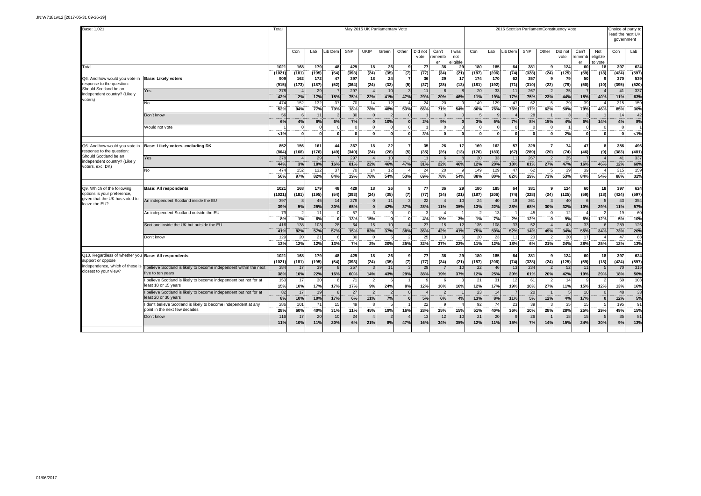| Base: 1,021                                      |                                                                                        |               |              |              |                |              | May 2015 UK Parliamentary Vote |                 |                       |                 |                       |                          |                    |                |                |              |                          | 2016 Scottish ParliamentConstituency Vote |                       |                            | Choice of party to | lead the next UK<br>government |
|--------------------------------------------------|----------------------------------------------------------------------------------------|---------------|--------------|--------------|----------------|--------------|--------------------------------|-----------------|-----------------------|-----------------|-----------------------|--------------------------|--------------------|----------------|----------------|--------------|--------------------------|-------------------------------------------|-----------------------|----------------------------|--------------------|--------------------------------|
|                                                  |                                                                                        |               | Con          | Lab          | ib Dem         | <b>SNP</b>   | <b>UKIP</b>                    | Green           | Other                 | Did not<br>vote | Can't<br>rememb<br>er | l was<br>not<br>eligible | Con                | Lab            | ib Dem         | <b>SNP</b>   | Other                    | Did no<br>vote                            | Can't<br>rememb<br>er | Not<br>eligible<br>to vote | Con                | Lab                            |
| Total                                            |                                                                                        | 1021          | 168          | 179          | 48             | 429          | 18                             | 26              | -9                    | 77              | 36                    | 29                       | 180                | 185            | 64             | 381          | -9                       | 124                                       | 60                    | 18                         | 397                | 624                            |
| Q6. And how would you vote in                    | <b>Base: Likely voters</b>                                                             | (1021)<br>909 | (181)<br>162 | (195)<br>172 | (54)<br>47     | (393)<br>397 | (24)<br>18                     | (35)<br>24      | (7)<br>$\overline{7}$ | (77)<br>36      | (34)<br>29            | (21)<br>17               | (187)<br>174       | (206)<br>170   | (74)<br>62     | (328)<br>357 | (24)<br><b>q</b>         | (125)<br>79                               | (59)<br>50            | (18)                       | (424)<br>370       | (597)<br>539                   |
| response to the question:                        |                                                                                        | (915)         | (173)        | (187)        | (52)           | (364)        | (24)                           | (32)            | (5)                   | (37)            | (28)                  | (13)                     | (181)              | (192)          | (71)           | (310)        | (22)                     | (79)                                      | (50)                  | (10)                       | (395)              | (520)                          |
| Should Scotland be an                            | Yes                                                                                    | 378           |              | 29           |                | 297          |                                | 10              |                       | 11              | 6                     |                          | 20                 | 33             | 11             | 267          | $\overline{2}$           | 35                                        | $\overline{7}$        |                            | 41                 | 337                            |
| independent country? (Likely<br>voters)          |                                                                                        | 42%           | 2%           | 17%          | 15%            | 75%          | 22%                            | 41%             | 47%                   | 29%             | 20%                   | 46%                      | 11%                | 19%            | 17%            | 75%          | 23%                      | 44%                                       | 15%                   | 40%                        | 11%                | 63%                            |
|                                                  | No                                                                                     | 474           | 152          | 132          | 37             | 70           | 14                             | 12              |                       | 24              | 20                    |                          | 149                | 129            | 47             | 62           |                          | 39                                        | 39                    |                            | 315                | 159                            |
|                                                  |                                                                                        | 52%           | 94%          | <b>77%</b>   | 79%            | 18%          | <b>78%</b>                     | 48%             | 53%                   | 66%             | 71%                   | 54%                      | 86%                | 76%            | 76%            | 17%          | 62%                      | 50%                                       | 79%                   | 46%                        | 85%                | 30%                            |
|                                                  | Don't know                                                                             | 56<br>6%      |              | 11           |                | 30<br>7%     | $\Omega$                       | $\mathcal{P}$   |                       |                 | $\mathbf{3}$          |                          |                    |                | $\Delta$       | 28<br>8%     |                          |                                           |                       |                            | 14                 | 42<br>8%                       |
|                                                  | Would not vote                                                                         |               | 4%           | 6%<br>ſ      | 6%<br>$\Omega$ | $\Omega$     | $\bf{0}$<br>$\Omega$           | 10%<br>$\Omega$ | n                     | 2%              | 9%<br>$\Omega$        |                          | 3%<br>$\mathsf{C}$ | 5%<br>$\Omega$ | 7%<br>$\Omega$ | $\Omega$     | 15%                      | 4%                                        | 6%<br>$\Omega$        | 14%                        | 4%<br>$\Omega$     |                                |
|                                                  |                                                                                        | 1%            | $\Omega$     | n            | $\Omega$       | $\Omega$     | $\mathbf{0}$                   | $\Omega$        | $\Omega$              | 3%              | $\mathbf{0}$          |                          | r                  | $\Omega$       | $\Omega$       | $\Omega$     |                          | 2%                                        | $\mathbf{0}$          |                            | $\Omega$           | 1%                             |
|                                                  |                                                                                        |               |              |              |                |              |                                |                 |                       |                 |                       |                          |                    |                |                |              |                          |                                           |                       |                            |                    |                                |
| Q6. And how would you vote in                    | Base: Likely voters, excluding DK                                                      | 852           | 156          | 161          | 44             | 367          | 18                             | 22              |                       | 35              | 26                    | 17                       | 169                | 162            | 57             | 329          |                          | 74                                        | 47                    |                            | 356                | 496                            |
| response to the question                         |                                                                                        | (864)         | (168)        | (176)        | (49)           | (340)        | (24)                           | (28)            | (5)                   | (35)            | (26)                  | (13)                     | (176)              | (183)          | (67)           | (289)        | (20)                     | (74)                                      | (46)                  | (9)                        | (383)              | (481)                          |
| Should Scotland be an                            | Yes                                                                                    | 378           |              | 29           |                | 297          |                                | 10              |                       | 11              | 6                     |                          | 20                 | 33             | 11             | 267          |                          | 35                                        | $\overline{7}$        |                            | 41                 | 337                            |
| independent country? (Likely<br>voters, excl DK) |                                                                                        | <b>44%</b>    | 3%           | 18%          | 16%            | 81%          | 22%                            | 46%             | 47%                   | 31%             | 22%                   | 46%                      | 12%                | 20%            | 18%            | 81%          | 27%                      | 47%                                       | 16%                   | 46%                        | 12%                | 68%                            |
|                                                  | No                                                                                     | 474           | 152          | 132          | 37             | 70           | 14                             | 12              |                       | 24              | 20                    |                          | 149                | 129            | 47             | 62           |                          | 39                                        | 39                    |                            | 315                | 159                            |
|                                                  |                                                                                        | 56%           | 97%          | 82%          | 84%            | 19%          | 78%                            | 54%             | 53%                   | 69%             | 78%                   | 54%                      | 88%                | 80%            | 82%            | 19%          | 73%                      | 53%                                       | 84%                   | 54%                        | 88%                | 32%                            |
| Q9. Which of the following                       | <b>Base: All respondents</b>                                                           | 1021          | 168          | 179          | 48             | 429          | 18                             | 26              | ٩                     | 77              | 36                    | 29                       | 180                | 185            | 64             | 381          | <b>q</b>                 | 124                                       | 60                    | 18                         | 397                | 624                            |
| options is your preference,                      |                                                                                        | (1021)        | (181)        | (195)        | (54)           | (393)        | (24)                           | (35)            | (7)                   | (77)            | (34)                  | (21)                     | (187)              | (206)          | (74)           | (328)        | (24)                     | (125)                                     | (59)                  | (18)                       | (424)              | (597)                          |
| given that the UK has voted to                   | An independent Scotland inside the EU                                                  | 397           | -8           | 45           | 14             | 279          | $\Omega$                       | 11              |                       | 22              | $\Delta$              | 1 <sup>1</sup>           | 24                 | 40             | 18             | 261          |                          | 40                                        | $\epsilon$            |                            | 43                 | 354                            |
| leave the EU?                                    |                                                                                        | 39%           | 5%           | 25%          | 30%            | 65%          | $\bf{0}$                       | 42%             | 37%                   | 28%             | 11%                   | 35%                      | 13%                | 22%            | 28%            | 68%          | 30%                      | 32%                                       | 10%                   | 29%                        | 11%                | 57%                            |
|                                                  | An independent Scotland outside the EU                                                 | 79            |              | 11           | $\Omega$       | 57           |                                | $\Omega$        |                       | 3               | $\boldsymbol{\Delta}$ |                          |                    | 13             |                | 45           |                          | 12                                        |                       |                            | 19                 | 60                             |
|                                                  |                                                                                        | 8%            | 1%           | 6%           | $\Omega$       | 13%          | 15%                            | $\Omega$        |                       | 4%              | 10%                   | 3%                       | 1%                 | 7%             | 2%             | 12%          |                          | 9%                                        | 6%                    | 12%                        | 5%                 | 10%                            |
|                                                  | Scotland inside the UK but outside the EU                                              | 416           | 138          | 103          | 28             | 64           | 15                             | 10              |                       | 27              | 15                    | 12                       | 135                | 108            | 33             | 52           |                          | 43                                        | 33                    |                            | 289                | 126                            |
|                                                  |                                                                                        | 41%           | 82%          | 57%          | 57%            | 15%          | 83%                            | 37%             | 38%                   | 36%             | 42%                   | 41%                      | 75%                | 59%            | 52%            | 14%          | 49%                      | 34%                                       | 55%                   | 34%                        | 73%                | 20%                            |
|                                                  | Don't know                                                                             | 129<br>13%    | 20<br>12%    | 21<br>12%    | -6<br>13%      | 30<br>7%     | $\Omega$<br>2%                 | 5<br>20%        | 25%                   | 25<br>32%       | 13<br>37%             | 22%                      | 20<br>11%          | 23<br>12%      | 11<br>18%      | 23<br>6%     | 21%                      | 30<br>24%                                 | 17<br>28%             | 25%                        | 47<br>12%          | 83<br>13%                      |
|                                                  |                                                                                        |               |              |              |                |              |                                |                 |                       |                 |                       |                          |                    |                |                |              |                          |                                           |                       |                            |                    |                                |
| Q10. Regardless of whether you                   | <b>Base: All respondents</b>                                                           | 1021          | 168          | 179          | 48             | 429          | 18                             | 26              | 9                     | 77              | 36                    | 29                       | 180                | 185            | 64             | 381          |                          | 124                                       | 60                    | 18                         | 397                | 624                            |
| support or oppose                                |                                                                                        | (1021)        | (181)        | (195)        | (54)           | (393)        | (24)                           | (35)            | (7)                   | (77)            | (34)                  | (21)                     | (187)              | (206)          | (74)           | (328)        | (24)                     | (125)                                     | (59)                  | (18)                       | (424)              | (597)                          |
| independence, which of these is                  | I believe Scotland is likely to become independent within the next                     | 384           | 17           | 39           |                | 257          | $\mathbf{R}$                   | 11              |                       | 29              | $\overline{7}$        | 1 <sup>1</sup>           | 22                 | 46             | 13             | 234          | $\overline{2}$           | 52                                        | 11                    |                            | 70                 | 315                            |
| closest to your view?                            | five to ten years                                                                      | 38%           | 10%          | 22%          | 16%            | 60%          | 14%                            | 43%             | 29%                   | 38%             | 19%                   | 37%                      | 12%                | 25%            | 20%            | 61%          | 20%                      | 42%                                       | 19%                   | 29%                        | 18%                | 50%                            |
|                                                  | believe Scotland is likely to become independent but not for at                        | 153           | 17           | 30           |                | 71           | $\mathfrak{p}$                 | 6               |                       | 9               | 6                     |                          | 21                 | 31             | 12             | 61           | $\overline{\phantom{a}}$ | 14                                        | q                     |                            | 50                 | 103                            |
|                                                  | east 10 or 15 years                                                                    | 15%           | 10%          | 17%          | 17%            | 17%          | 9%                             | 24%             | 8%                    | 12%             | 16%                   | 10%                      | 12%                | 17%            | 19%            | 16%          | 27%                      | 11%                                       | 15%                   | 12%                        | 13%                | 16%                            |
|                                                  | believe Scotland is likely to become independent but not for at<br>east 20 or 30 years | 82            | 17           | 19           |                | 27           |                                | $\overline{2}$  |                       | $\lambda$       | $\overline{2}$        |                          | 23                 | 14             | 7              | 20           |                          | $\overline{5}$                            | 10<br>17%             |                            | 48                 | 33                             |
|                                                  | don't believe Scotland is likely to become independent at any                          | 8%<br>286     | 10%<br>101   | 10%<br>71    | 17%<br>15      | 6%<br>49     | 11%<br>$\mathbf{R}$            | 7%<br>5         | $\bf{0}$              | 5%<br>22        | 6%<br>9               | 4%                       | 13%<br>92          | 8%<br>74       | 11%<br>23      | 5%<br>39     | 12%<br>-3                | 4%<br>35                                  | 15                    |                            | 12%<br>195         | 5%<br>91                       |
|                                                  | point in the next few decades                                                          | 28%           | 60%          | 40%          | 31%            | 11%          | 45%                            | 19%             | 16%                   | 28%             | 25%                   | 15%                      | 51%                | 40%            | 36%            | 10%          | 28%                      | 28%                                       | 25%                   | 29%                        | 49%                | 15%                            |
|                                                  | Don't know                                                                             | 116           | 17           | 20           | 10             | 24           |                                | $\overline{2}$  |                       | 13              | 12                    | $\overline{1}$           | 21                 | 20             | $\mathbf{Q}$   | 26           |                          | 18                                        | 15                    |                            | 35                 | 81                             |
|                                                  |                                                                                        | 11%           | 10%          | 11%          | 20%            | 6%           | 21%                            | 8%              | 47%                   | 16%             | 34%                   | 35%                      | 12%                | 11%            | 15%            | 7%           | 14%                      | 15%                                       | 24%                   | 30%                        | 9%                 | 13%                            |
|                                                  |                                                                                        |               |              |              |                |              |                                |                 |                       |                 |                       |                          |                    |                |                |              |                          |                                           |                       |                            |                    |                                |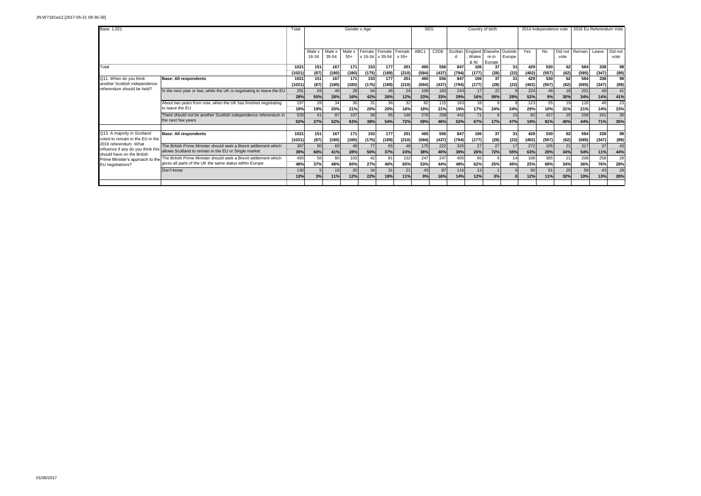| Base: 1.021                                                 |                                                                                         | Total            |        |        | Gender x Age |                 |                     |         | <b>SEG</b>               |                   |              | Country of birth |                 |         | 2014 Independence vote  |         |                        |                | 2016 Eu Referendum Vote |                    |
|-------------------------------------------------------------|-----------------------------------------------------------------------------------------|------------------|--------|--------|--------------|-----------------|---------------------|---------|--------------------------|-------------------|--------------|------------------|-----------------|---------|-------------------------|---------|------------------------|----------------|-------------------------|--------------------|
|                                                             |                                                                                         |                  |        |        |              |                 |                     |         |                          |                   |              |                  |                 |         |                         |         |                        |                |                         |                    |
|                                                             |                                                                                         |                  | Male   | Male x | Male x       | Female          | Female              | Female  | ABC <sub>1</sub>         | C <sub>2</sub> DE | Scotlan      | England          | Elsewhe         | Outside | Yes                     | No      | Did not                | Remain         | Leave                   | Did not            |
|                                                             |                                                                                         |                  | 16-34  | 35-54  | $55+$        |                 | $x 16-34$ $x 35-54$ | $x 55+$ |                          |                   |              | Wales<br>& NI    | re in<br>Europe | Europe  |                         |         | vote                   |                |                         | vote               |
| Total                                                       |                                                                                         | 1021             | 151    | 167    | 171          | 153             | 177                 | 201     | 465                      | 556               | 847          | 106              | 37              | 31      | 429                     | 530     | 62                     | 584            | 338                     | 98                 |
|                                                             |                                                                                         | (1021)           | (87)   | (180)  | (180)        | (175)           | (189)               | (210)   | (584)                    | (437)             | (794)        | (177)            | (28)            | (22)    | (402)                   | (557)   | (62)                   | (585)          | (347)                   | (89)               |
| Q11. When do you think                                      | <b>Base: All respondents</b>                                                            | 1021             | 151    | 167    | 171          | 153             | 177                 | 201     | 465                      | 556               | 847          | 106              | 37              | 31      | 429                     | 530     | 62                     | 584            | 338                     | 98                 |
| another Scottish independence<br>referendum should be held? |                                                                                         | (1021)           | (87)   | (180)  | (180)        | (175)           | (189)               | (210)   | (584)                    | (437)             | (794)        | (177)            | (28)            | (22)    | (402)                   | (557)   | (62)                   | (585)          | (347)                   | (89)               |
|                                                             | In the next year or two, while the UK is negotiating to leave the EU                    | 291              | 83     | 46     | 28           | 64              | 46                  | 24      | 108                      | 183               | 243          | 17               | 22              |         | 224<br><b>The Story</b> | 48      | 18                     | 201            | 49                      | 41<br>             |
|                                                             |                                                                                         | 28%              | 55%    | 28%    | 16%          | 42%             | 26%                 | 12%     | 23%                      | 33%               | 29%          | 16%              | 59%             | 29%     | 52%                     | 9%      | 30%                    | 34%            | 14%                     | 41%                |
|                                                             | About two years from now, when the UK has finished negotiating                          | 197<br>          | 28<br> | 34     | 36           | 31              | 36<br>              | 32      | 82<br>                   | 115               | 163<br>----- | 18               |                 |         | 123<br>----             | 55      | 19<br>                 | 126            | 48<br>                  | 23<br>-----        |
|                                                             | to leave the EU                                                                         | 19%              | 19%    | 20%    | 21%          | 20%             | 20%                 | 16%     | 18%                      | 21%               | 19%          | 17%              | 24%             | 24%     | 29%                     | 10%     | 31%                    | 21%            | 14%                     | 23%                |
|                                                             | There should not be another Scottish independence referendum in                         | 533              | 41     | 87     | 107          | 58              | 95                  | 146     | 276<br><b>CONTRACTOR</b> | 258               | 442<br>      | 71               |                 | 15      | 82<br>.                 | 427     | 25<br>$-12222222$      | 258            | 241<br>$-$              | 35<br>--------     |
|                                                             | the next few years                                                                      | 52%              | 27%    | 52%    | 63%          | 38%             | 54%                 | 72%     | 59%                      | 46%               | 52%          | 67%              | 17%             | 47%     | 19%                     | 81%     | 40%                    | 44%            | 71%                     | 35%                |
|                                                             |                                                                                         |                  |        |        |              |                 |                     |         |                          |                   |              |                  |                 |         |                         |         |                        |                |                         |                    |
| Q13. A majority in Scotland                                 | <b>Base: All respondents</b>                                                            | 1021             | 151    | 167    | 171          | 153             | 177                 | 201     | 465                      | 556               | 847          | 106              | 37              | 31      | 429                     | 530     | 62                     | 584            | 338                     | 98                 |
| voted to remain in the EU in the<br>2016 referendum. What   |                                                                                         | (1021)           | (87)   | (180)  | (180)        | (175)           | (189)               | (210)   | (584)                    | (437)             | (794)        | (177)            | (28)            | (22)    | (402)                   | (557)   | (62)                   | (585)          | (347)                   | (89)               |
|                                                             | The British Prime Minister should seek a Brexit settlement which                        | 397<br>--------  | 90     | 69     | 48           | 77              | 65                  | 48      | 175                      | 222               | 326          | 27               | 27              | 17      | 272                     | 105     | 21                     | 317            | 37                      | 43<br><b>COLOR</b> |
| should have on the British                                  | influence if any do you think this allows Scotland to remain in the EU or Single market | 39%              | 60%    | 41%    | 28%          | 50%             | 37%                 | 24%     | 38%                      | 40%               | 39%          | 26%              | 72%             | 55%     | 63%                     | 20%     | 34%                    | 54%            | 11%                     | 44%                |
| Prime Minister's approach to the                            | The British Prime Minister should seek a Brexit settlement which                        | 493<br>--------- | 56<br> | 80     | 103<br>      | 42<br>--------- | 81<br>              | 132     | 247<br>------            | 247<br>           | 405<br>      | 65<br>------     |                 |         | 108<br>------           | 365<br> | $2^{\circ}$<br>------- | 208<br>------- | 258<br>                 | 28<br>             |
| EU negotiations?                                            | gives all parts of the UK the same status within Europe                                 | 48%              | 37%    | 48%    | 60%          | 27%             | 46%                 | 65%     | 53%                      | 44%               | 48%          | 62%              | 25%             | 45%     | 25%                     | 69%     | 34%                    | 36%            | 76%                     | 28%                |
|                                                             | Don't know                                                                              | 130              |        | 19     | 20           | 34              | 31                  | 21      | 43                       | 87                | 116          | 13               |                 |         | 50                      | 61      | 20                     | 59             | 43                      | 28<br>             |
|                                                             |                                                                                         | 13%              | 3%     | 11%    | 12%          | 22%             | 18%                 | 11%     | 9%                       | 16%               | 14%          | 12%              | 3%              |         | 12%                     | 11%     | 32%                    | 10%            | 13%                     | 28%                |
|                                                             |                                                                                         |                  |        |        |              |                 |                     |         |                          |                   |              |                  |                 |         |                         |         |                        |                |                         |                    |